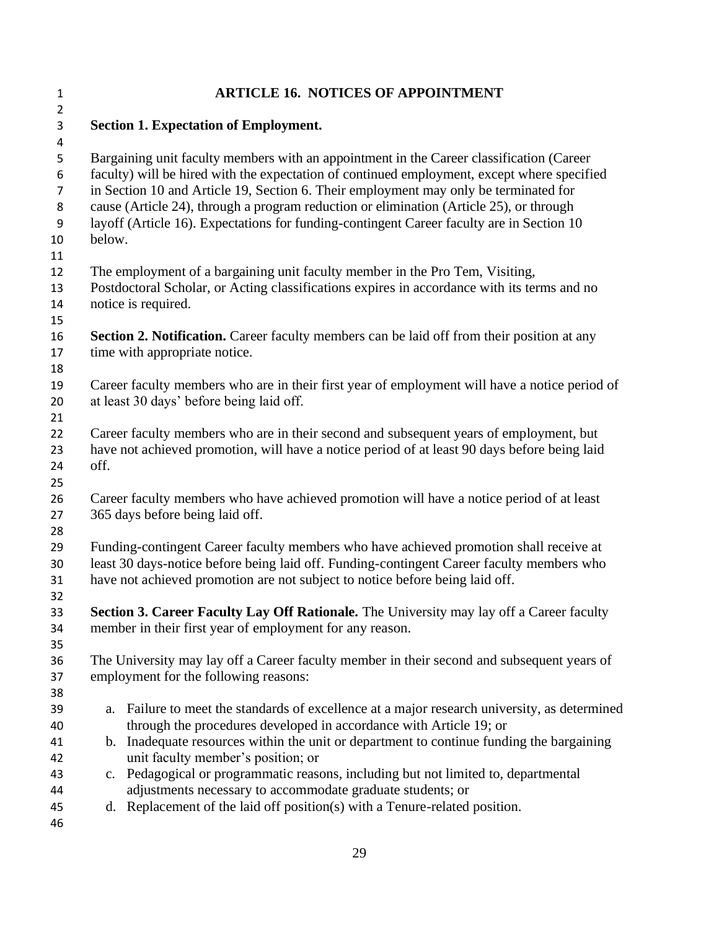| $\mathbf{1}$                                                  | <b>ARTICLE 16. NOTICES OF APPOINTMENT</b>                                                                                                                                                                                                                                                                                                                                                                                                                                         |
|---------------------------------------------------------------|-----------------------------------------------------------------------------------------------------------------------------------------------------------------------------------------------------------------------------------------------------------------------------------------------------------------------------------------------------------------------------------------------------------------------------------------------------------------------------------|
| $\overline{2}$                                                |                                                                                                                                                                                                                                                                                                                                                                                                                                                                                   |
| 3<br>$\overline{\mathbf{4}}$                                  | <b>Section 1. Expectation of Employment.</b>                                                                                                                                                                                                                                                                                                                                                                                                                                      |
| 5<br>6<br>$\overline{7}$<br>8<br>$\boldsymbol{9}$<br>10<br>11 | Bargaining unit faculty members with an appointment in the Career classification (Career<br>faculty) will be hired with the expectation of continued employment, except where specified<br>in Section 10 and Article 19, Section 6. Their employment may only be terminated for<br>cause (Article 24), through a program reduction or elimination (Article 25), or through<br>layoff (Article 16). Expectations for funding-contingent Career faculty are in Section 10<br>below. |
| 12<br>13<br>14                                                | The employment of a bargaining unit faculty member in the Pro Tem, Visiting,<br>Postdoctoral Scholar, or Acting classifications expires in accordance with its terms and no<br>notice is required.                                                                                                                                                                                                                                                                                |
| 15<br>16<br>17<br>18                                          | <b>Section 2. Notification.</b> Career faculty members can be laid off from their position at any<br>time with appropriate notice.                                                                                                                                                                                                                                                                                                                                                |
| 19<br>20<br>21                                                | Career faculty members who are in their first year of employment will have a notice period of<br>at least 30 days' before being laid off.                                                                                                                                                                                                                                                                                                                                         |
| 22<br>23<br>24<br>25                                          | Career faculty members who are in their second and subsequent years of employment, but<br>have not achieved promotion, will have a notice period of at least 90 days before being laid<br>off.                                                                                                                                                                                                                                                                                    |
| 26<br>27<br>28                                                | Career faculty members who have achieved promotion will have a notice period of at least<br>365 days before being laid off.                                                                                                                                                                                                                                                                                                                                                       |
| 29<br>30<br>31<br>32                                          | Funding-contingent Career faculty members who have achieved promotion shall receive at<br>least 30 days-notice before being laid off. Funding-contingent Career faculty members who<br>have not achieved promotion are not subject to notice before being laid off.                                                                                                                                                                                                               |
| 33<br>34<br>35                                                | Section 3. Career Faculty Lay Off Rationale. The University may lay off a Career faculty<br>member in their first year of employment for any reason.                                                                                                                                                                                                                                                                                                                              |
| 36<br>37<br>38                                                | The University may lay off a Career faculty member in their second and subsequent years of<br>employment for the following reasons:                                                                                                                                                                                                                                                                                                                                               |
| 39<br>40                                                      | Failure to meet the standards of excellence at a major research university, as determined<br>a.<br>through the procedures developed in accordance with Article 19; or                                                                                                                                                                                                                                                                                                             |
| 41<br>42<br>43                                                | b. Inadequate resources within the unit or department to continue funding the bargaining<br>unit faculty member's position; or<br>c. Pedagogical or programmatic reasons, including but not limited to, departmental                                                                                                                                                                                                                                                              |
| 44                                                            | adjustments necessary to accommodate graduate students; or                                                                                                                                                                                                                                                                                                                                                                                                                        |
| 45<br>46                                                      | d. Replacement of the laid off position(s) with a Tenure-related position.                                                                                                                                                                                                                                                                                                                                                                                                        |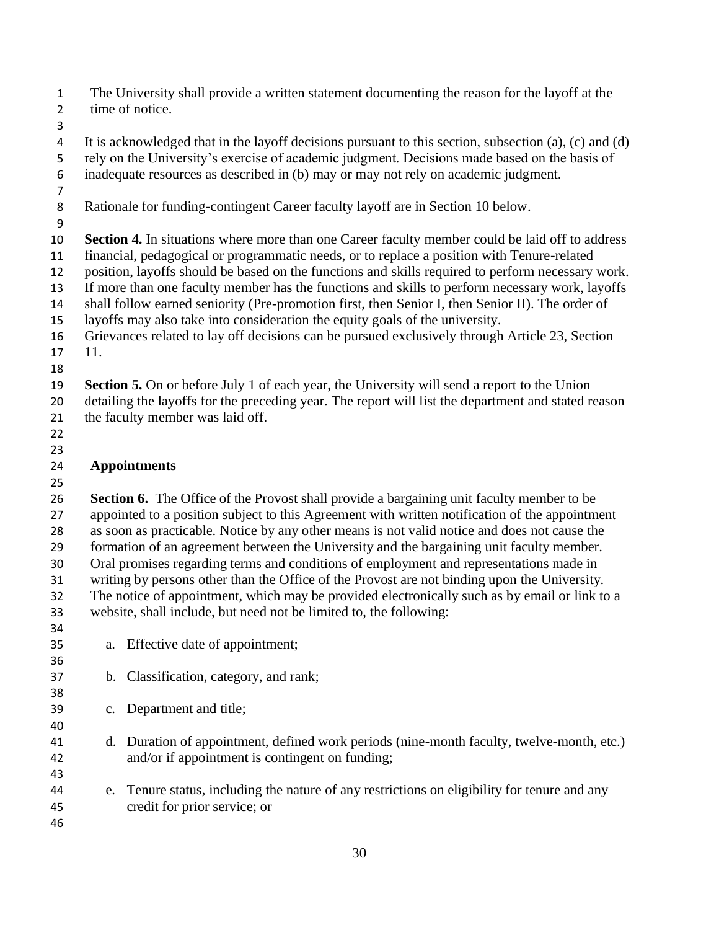The University shall provide a written statement documenting the reason for the layoff at the time of notice.

 It is acknowledged that in the layoff decisions pursuant to this section, subsection (a), (c) and (d) rely on the University's exercise of academic judgment. Decisions made based on the basis of

inadequate resources as described in (b) may or may not rely on academic judgment.

Rationale for funding-contingent Career faculty layoff are in Section 10 below.

 **Section 4.** In situations where more than one Career faculty member could be laid off to address financial, pedagogical or programmatic needs, or to replace a position with Tenure-related

position, layoffs should be based on the functions and skills required to perform necessary work.

If more than one faculty member has the functions and skills to perform necessary work, layoffs

shall follow earned seniority (Pre-promotion first, then Senior I, then Senior II). The order of

layoffs may also take into consideration the equity goals of the university.

 Grievances related to lay off decisions can be pursued exclusively through Article 23, Section 11.

**Section 5.** On or before July 1 of each year, the University will send a report to the Union

 detailing the layoffs for the preceding year. The report will list the department and stated reason the faculty member was laid off.

 

## **Appointments**

 **Section 6.** The Office of the Provost shall provide a bargaining unit faculty member to be appointed to a position subject to this Agreement with written notification of the appointment as soon as practicable. Notice by any other means is not valid notice and does not cause the formation of an agreement between the University and the bargaining unit faculty member. Oral promises regarding terms and conditions of employment and representations made in writing by persons other than the Office of the Provost are not binding upon the University. The notice of appointment, which may be provided electronically such as by email or link to a

website, shall include, but need not be limited to, the following:

a. Effective date of appointment;

- b. Classification, category, and rank;
- c. Department and title;
- d. Duration of appointment, defined work periods (nine-month faculty, twelve-month, etc.) and/or if appointment is contingent on funding;
- e. Tenure status, including the nature of any restrictions on eligibility for tenure and any credit for prior service; or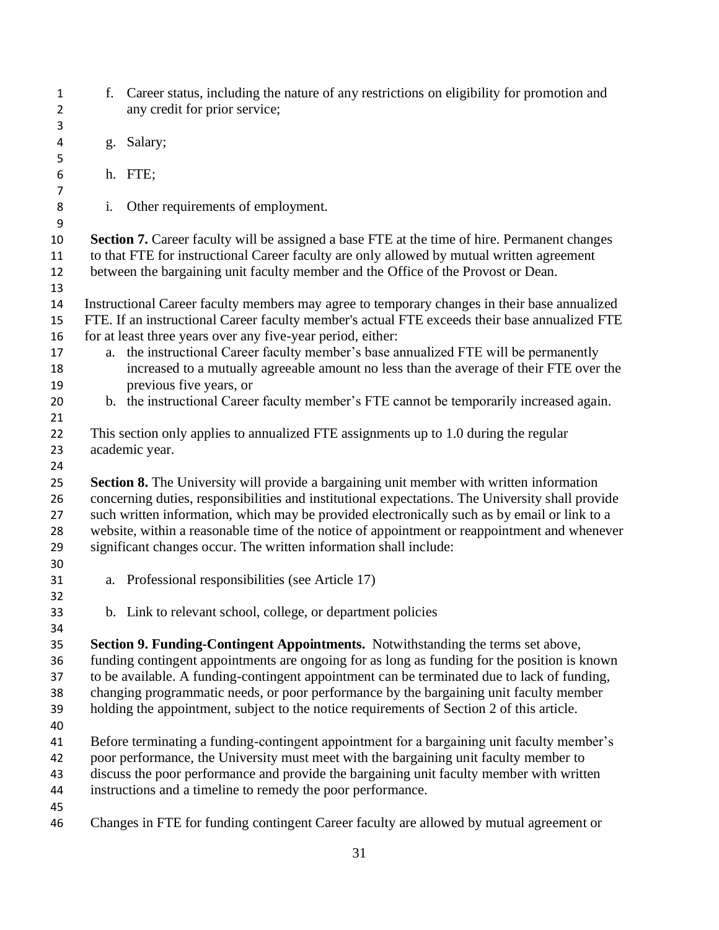f. Career status, including the nature of any restrictions on eligibility for promotion and any credit for prior service; g. Salary; h. FTE; i. Other requirements of employment. **Section 7.** Career faculty will be assigned a base FTE at the time of hire. Permanent changes to that FTE for instructional Career faculty are only allowed by mutual written agreement between the bargaining unit faculty member and the Office of the Provost or Dean. Instructional Career faculty members may agree to temporary changes in their base annualized FTE. If an instructional Career faculty member's actual FTE exceeds their base annualized FTE 16 for at least three years over any five-year period, either: a. the instructional Career faculty member's base annualized FTE will be permanently increased to a mutually agreeable amount no less than the average of their FTE over the previous five years, or b. the instructional Career faculty member's FTE cannot be temporarily increased again. This section only applies to annualized FTE assignments up to 1.0 during the regular academic year. **Section 8.** The University will provide a bargaining unit member with written information concerning duties, responsibilities and institutional expectations. The University shall provide such written information, which may be provided electronically such as by email or link to a website, within a reasonable time of the notice of appointment or reappointment and whenever significant changes occur. The written information shall include: a. Professional responsibilities (see Article 17) b. Link to relevant school, college, or department policies **Section 9. Funding-Contingent Appointments.** Notwithstanding the terms set above, funding contingent appointments are ongoing for as long as funding for the position is known to be available. A funding-contingent appointment can be terminated due to lack of funding, changing programmatic needs, or poor performance by the bargaining unit faculty member holding the appointment, subject to the notice requirements of Section 2 of this article. Before terminating a funding-contingent appointment for a bargaining unit faculty member's poor performance, the University must meet with the bargaining unit faculty member to discuss the poor performance and provide the bargaining unit faculty member with written instructions and a timeline to remedy the poor performance. Changes in FTE for funding contingent Career faculty are allowed by mutual agreement or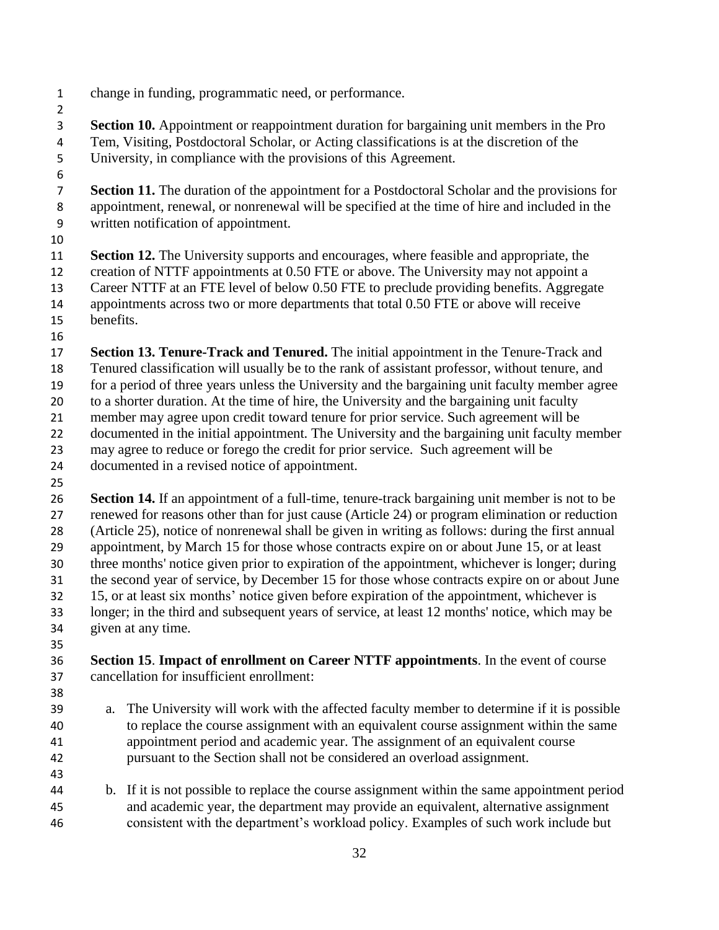- change in funding, programmatic need, or performance.
- 
- **Section 10.** Appointment or reappointment duration for bargaining unit members in the Pro Tem, Visiting, Postdoctoral Scholar, or Acting classifications is at the discretion of the University, in compliance with the provisions of this Agreement.
- 

 **Section 11.** The duration of the appointment for a Postdoctoral Scholar and the provisions for appointment, renewal, or nonrenewal will be specified at the time of hire and included in the written notification of appointment.

 **Section 12.** The University supports and encourages, where feasible and appropriate, the creation of NTTF appointments at 0.50 FTE or above. The University may not appoint a Career NTTF at an FTE level of below 0.50 FTE to preclude providing benefits. Aggregate appointments across two or more departments that total 0.50 FTE or above will receive benefits.

 **Section 13. Tenure-Track and Tenured.** The initial appointment in the Tenure-Track and Tenured classification will usually be to the rank of assistant professor, without tenure, and for a period of three years unless the University and the bargaining unit faculty member agree to a shorter duration. At the time of hire, the University and the bargaining unit faculty member may agree upon credit toward tenure for prior service. Such agreement will be documented in the initial appointment. The University and the bargaining unit faculty member may agree to reduce or forego the credit for prior service. Such agreement will be

documented in a revised notice of appointment.

 **Section 14.** If an appointment of a full-time, tenure-track bargaining unit member is not to be renewed for reasons other than for just cause (Article 24) or program elimination or reduction (Article 25), notice of nonrenewal shall be given in writing as follows: during the first annual appointment, by March 15 for those whose contracts expire on or about June 15, or at least three months' notice given prior to expiration of the appointment, whichever is longer; during the second year of service, by December 15 for those whose contracts expire on or about June 15, or at least six months' notice given before expiration of the appointment, whichever is longer; in the third and subsequent years of service, at least 12 months' notice, which may be given at any time.

 **Section 15**. **Impact of enrollment on Career NTTF appointments**. In the event of course cancellation for insufficient enrollment:

- 
- a. The University will work with the affected faculty member to determine if it is possible to replace the course assignment with an equivalent course assignment within the same appointment period and academic year. The assignment of an equivalent course pursuant to the Section shall not be considered an overload assignment.
- b. If it is not possible to replace the course assignment within the same appointment period and academic year, the department may provide an equivalent, alternative assignment consistent with the department's workload policy. Examples of such work include but